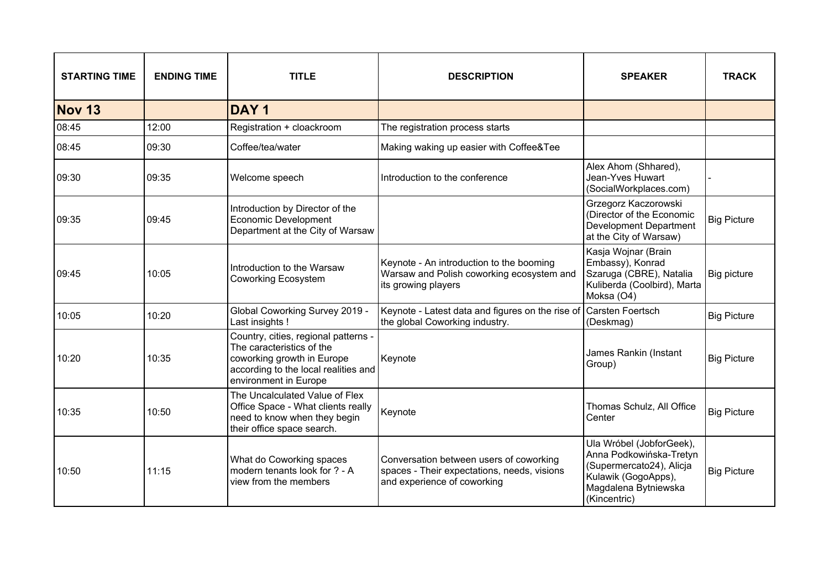| <b>STARTING TIME</b> | <b>ENDING TIME</b> | <b>TITLE</b>                                                                                                                                                     | <b>DESCRIPTION</b>                                                                                                    | <b>SPEAKER</b>                                                                                                                                 | <b>TRACK</b>       |
|----------------------|--------------------|------------------------------------------------------------------------------------------------------------------------------------------------------------------|-----------------------------------------------------------------------------------------------------------------------|------------------------------------------------------------------------------------------------------------------------------------------------|--------------------|
| Nov 13               |                    | DAY <sub>1</sub>                                                                                                                                                 |                                                                                                                       |                                                                                                                                                |                    |
| 08:45                | 12:00              | Registration + cloackroom                                                                                                                                        | The registration process starts                                                                                       |                                                                                                                                                |                    |
| 08:45                | 09:30              | Coffee/tea/water                                                                                                                                                 | Making waking up easier with Coffee&Tee                                                                               |                                                                                                                                                |                    |
| 09:30                | 09:35              | Welcome speech                                                                                                                                                   | Introduction to the conference                                                                                        | Alex Ahom (Shhared),<br>Jean-Yves Huwart<br>(SocialWorkplaces.com)                                                                             |                    |
| 09:35                | 09:45              | Introduction by Director of the<br>Economic Development<br>Department at the City of Warsaw                                                                      |                                                                                                                       | Grzegorz Kaczorowski<br>(Director of the Economic<br><b>Development Department</b><br>at the City of Warsaw)                                   | <b>Big Picture</b> |
| 09:45                | 10:05              | Introduction to the Warsaw<br><b>Coworking Ecosystem</b>                                                                                                         | Keynote - An introduction to the booming<br>Warsaw and Polish coworking ecosystem and<br>its growing players          | Kasja Wojnar (Brain<br>Embassy), Konrad<br>Szaruga (CBRE), Natalia<br>Kuliberda (Coolbird), Marta<br>Moksa (O4)                                | Big picture        |
| 10:05                | 10:20              | Global Coworking Survey 2019 -<br>Last insights !                                                                                                                | Keynote - Latest data and figures on the rise of<br>the global Coworking industry.                                    | Carsten Foertsch<br>(Deskmag)                                                                                                                  | <b>Big Picture</b> |
| 10:20                | 10:35              | Country, cities, regional patterns -<br>The caracteristics of the<br>coworking growth in Europe<br>according to the local realities and<br>environment in Europe | Keynote                                                                                                               | James Rankin (Instant<br>Group)                                                                                                                | <b>Big Picture</b> |
| 10:35                | 10:50              | The Uncalculated Value of Flex<br>Office Space - What clients really<br>need to know when they begin<br>their office space search.                               | Keynote                                                                                                               | Thomas Schulz, All Office<br>Center                                                                                                            | <b>Big Picture</b> |
| 10:50                | 11:15              | What do Coworking spaces<br>modern tenants look for ? - A<br>view from the members                                                                               | Conversation between users of coworking<br>spaces - Their expectations, needs, visions<br>and experience of coworking | Ula Wróbel (JobforGeek),<br>Anna Podkowińska-Tretyn<br>(Supermercato24), Alicja<br>Kulawik (GogoApps),<br>Magdalena Bytniewska<br>(Kincentric) | <b>Big Picture</b> |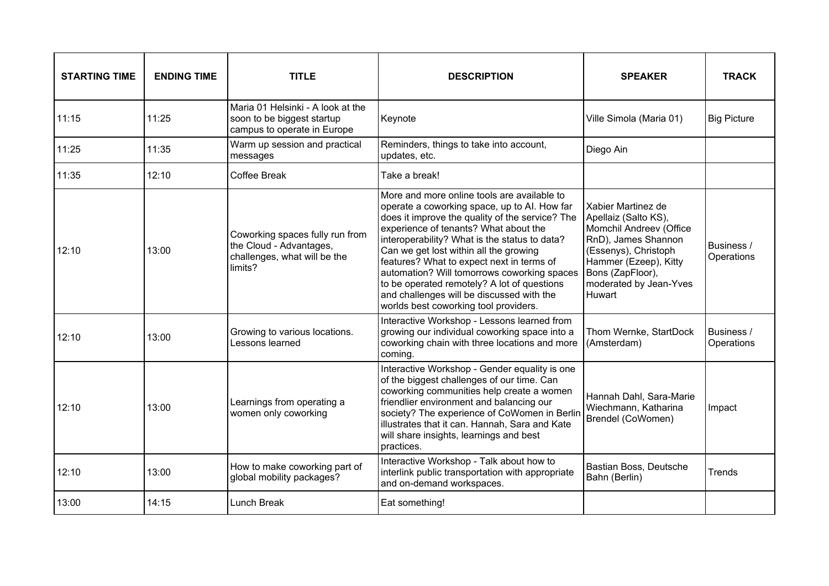| <b>STARTING TIME</b> | <b>ENDING TIME</b> | <b>TITLE</b>                                                                                          | <b>DESCRIPTION</b>                                                                                                                                                                                                                                                                                                                                                                                                                                                                                                  | <b>SPEAKER</b>                                                                                                                                                                                        | <b>TRACK</b>             |
|----------------------|--------------------|-------------------------------------------------------------------------------------------------------|---------------------------------------------------------------------------------------------------------------------------------------------------------------------------------------------------------------------------------------------------------------------------------------------------------------------------------------------------------------------------------------------------------------------------------------------------------------------------------------------------------------------|-------------------------------------------------------------------------------------------------------------------------------------------------------------------------------------------------------|--------------------------|
| 11:15                | 11:25              | Maria 01 Helsinki - A look at the<br>soon to be biggest startup<br>campus to operate in Europe        | Keynote                                                                                                                                                                                                                                                                                                                                                                                                                                                                                                             | Ville Simola (Maria 01)                                                                                                                                                                               | <b>Big Picture</b>       |
| 11:25                | 11:35              | Warm up session and practical<br>messages                                                             | Reminders, things to take into account,<br>updates, etc.                                                                                                                                                                                                                                                                                                                                                                                                                                                            | Diego Ain                                                                                                                                                                                             |                          |
| 11:35                | 12:10              | Coffee Break                                                                                          | Take a break!                                                                                                                                                                                                                                                                                                                                                                                                                                                                                                       |                                                                                                                                                                                                       |                          |
| 12:10                | 13:00              | Coworking spaces fully run from<br>the Cloud - Advantages,<br>challenges, what will be the<br>limits? | More and more online tools are available to<br>operate a coworking space, up to Al. How far<br>does it improve the quality of the service? The<br>experience of tenants? What about the<br>interoperability? What is the status to data?<br>Can we get lost within all the growing<br>features? What to expect next in terms of<br>automation? Will tomorrows coworking spaces<br>to be operated remotely? A lot of questions<br>and challenges will be discussed with the<br>worlds best coworking tool providers. | Xabier Martinez de<br>Apellaiz (Salto KS),<br>Momchil Andreev (Office<br>RnD), James Shannon<br>(Essenys), Christoph<br>Hammer (Ezeep), Kitty<br>Bons (ZapFloor),<br>moderated by Jean-Yves<br>Huwart | Business /<br>Operations |
| 12:10                | 13:00              | Growing to various locations.<br>Lessons learned                                                      | Interactive Workshop - Lessons learned from<br>growing our individual coworking space into a<br>coworking chain with three locations and more<br>coming.                                                                                                                                                                                                                                                                                                                                                            | Thom Wernke, StartDock<br>(Amsterdam)                                                                                                                                                                 | Business /<br>Operations |
| 12:10                | 13:00              | Learnings from operating a<br>women only coworking                                                    | Interactive Workshop - Gender equality is one<br>of the biggest challenges of our time. Can<br>coworking communities help create a women<br>friendlier environment and balancing our<br>society? The experience of CoWomen in Berlin<br>illustrates that it can. Hannah, Sara and Kate<br>will share insights, learnings and best<br>practices.                                                                                                                                                                     | Hannah Dahl, Sara-Marie<br>Wiechmann, Katharina<br>Brendel (CoWomen)                                                                                                                                  | Impact                   |
| 12:10                | 13:00              | How to make coworking part of<br>global mobility packages?                                            | Interactive Workshop - Talk about how to<br>interlink public transportation with appropriate<br>and on-demand workspaces.                                                                                                                                                                                                                                                                                                                                                                                           | Bastian Boss, Deutsche<br>Bahn (Berlin)                                                                                                                                                               | Trends                   |
| 13:00                | 14:15              | <b>Lunch Break</b>                                                                                    | Eat something!                                                                                                                                                                                                                                                                                                                                                                                                                                                                                                      |                                                                                                                                                                                                       |                          |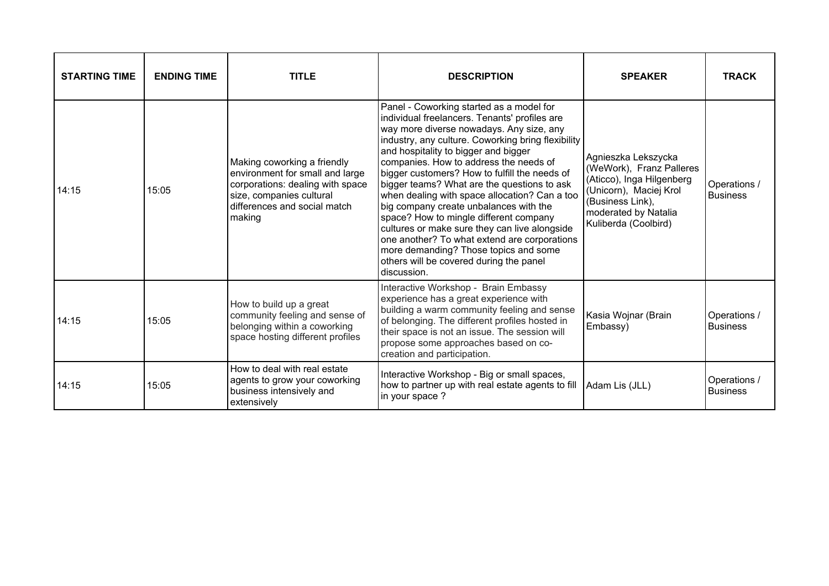| <b>STARTING TIME</b> | <b>ENDING TIME</b> | <b>TITLE</b>                                                                                                                                                             | <b>DESCRIPTION</b>                                                                                                                                                                                                                                                                                                                                                                                                                                                                                                                                                                                                                                                                                                     | <b>SPEAKER</b>                                                                                                                                                             | <b>TRACK</b>                    |
|----------------------|--------------------|--------------------------------------------------------------------------------------------------------------------------------------------------------------------------|------------------------------------------------------------------------------------------------------------------------------------------------------------------------------------------------------------------------------------------------------------------------------------------------------------------------------------------------------------------------------------------------------------------------------------------------------------------------------------------------------------------------------------------------------------------------------------------------------------------------------------------------------------------------------------------------------------------------|----------------------------------------------------------------------------------------------------------------------------------------------------------------------------|---------------------------------|
| 14:15                | 15:05              | Making coworking a friendly<br>environment for small and large<br>corporations: dealing with space<br>size, companies cultural<br>differences and social match<br>making | Panel - Coworking started as a model for<br>individual freelancers. Tenants' profiles are<br>way more diverse nowadays. Any size, any<br>industry, any culture. Coworking bring flexibility<br>and hospitality to bigger and bigger<br>companies. How to address the needs of<br>bigger customers? How to fulfill the needs of<br>bigger teams? What are the questions to ask<br>when dealing with space allocation? Can a too<br>big company create unbalances with the<br>space? How to mingle different company<br>cultures or make sure they can live alongside<br>one another? To what extend are corporations<br>more demanding? Those topics and some<br>others will be covered during the panel<br>discussion. | Agnieszka Lekszycka<br>(WeWork), Franz Palleres<br>(Aticco), Inga Hilgenberg<br>(Unicorn), Maciej Krol<br>(Business Link),<br>moderated by Natalia<br>Kuliberda (Coolbird) | Operations /<br><b>Business</b> |
| 14:15                | 15:05              | How to build up a great<br>community feeling and sense of<br>belonging within a coworking<br>space hosting different profiles                                            | Interactive Workshop - Brain Embassy<br>experience has a great experience with<br>building a warm community feeling and sense<br>of belonging. The different profiles hosted in<br>their space is not an issue. The session will<br>propose some approaches based on co-<br>creation and participation.                                                                                                                                                                                                                                                                                                                                                                                                                | Kasia Wojnar (Brain<br>Embassy)                                                                                                                                            | Operations /<br><b>Business</b> |
| 14:15                | 15:05              | How to deal with real estate<br>agents to grow your coworking<br>business intensively and<br>extensively                                                                 | Interactive Workshop - Big or small spaces,<br>how to partner up with real estate agents to fill   Adam Lis (JLL)<br>in your space?                                                                                                                                                                                                                                                                                                                                                                                                                                                                                                                                                                                    |                                                                                                                                                                            | Operations /<br><b>Business</b> |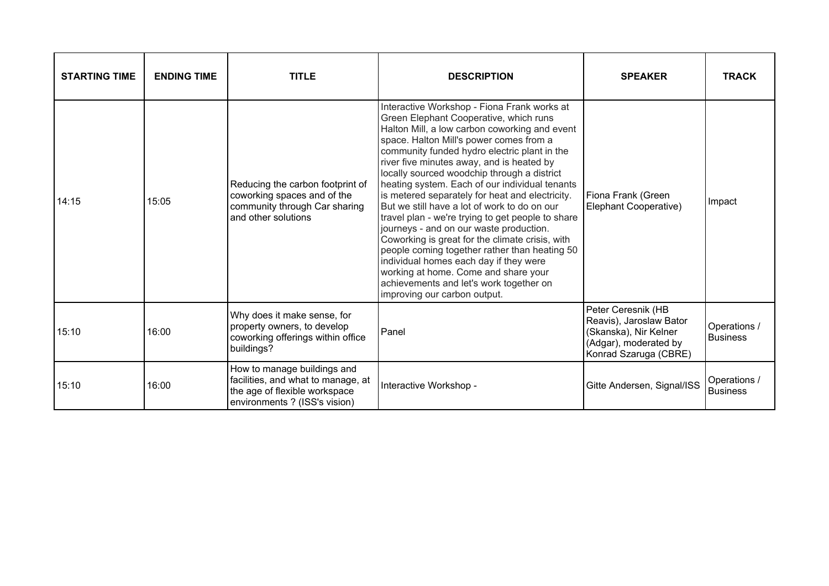| <b>STARTING TIME</b> | <b>ENDING TIME</b> | <b>TITLE</b>                                                                                                                        | <b>DESCRIPTION</b>                                                                                                                                                                                                                                                                                                                                                                                                                                                                                                                                                                                                                                                                                                                                                                                                                                  | <b>SPEAKER</b>                                                                                                           | <b>TRACK</b>                    |
|----------------------|--------------------|-------------------------------------------------------------------------------------------------------------------------------------|-----------------------------------------------------------------------------------------------------------------------------------------------------------------------------------------------------------------------------------------------------------------------------------------------------------------------------------------------------------------------------------------------------------------------------------------------------------------------------------------------------------------------------------------------------------------------------------------------------------------------------------------------------------------------------------------------------------------------------------------------------------------------------------------------------------------------------------------------------|--------------------------------------------------------------------------------------------------------------------------|---------------------------------|
| 14:15                | 15:05              | Reducing the carbon footprint of<br>coworking spaces and of the<br>community through Car sharing<br>and other solutions             | Interactive Workshop - Fiona Frank works at<br>Green Elephant Cooperative, which runs<br>Halton Mill, a low carbon coworking and event<br>space. Halton Mill's power comes from a<br>community funded hydro electric plant in the<br>river five minutes away, and is heated by<br>locally sourced woodchip through a district<br>heating system. Each of our individual tenants<br>is metered separately for heat and electricity.<br>But we still have a lot of work to do on our<br>travel plan - we're trying to get people to share<br>journeys - and on our waste production.<br>Coworking is great for the climate crisis, with<br>people coming together rather than heating 50<br>individual homes each day if they were<br>working at home. Come and share your<br>achievements and let's work together on<br>improving our carbon output. | Fiona Frank (Green<br>Elephant Cooperative)                                                                              | Impact                          |
| 15:10                | 16:00              | Why does it make sense, for<br>property owners, to develop<br>coworking offerings within office<br>buildings?                       | Panel                                                                                                                                                                                                                                                                                                                                                                                                                                                                                                                                                                                                                                                                                                                                                                                                                                               | Peter Ceresnik (HB<br>Reavis), Jaroslaw Bator<br>(Skanska), Nir Kelner<br>(Adgar), moderated by<br>Konrad Szaruga (CBRE) | Operations /<br><b>Business</b> |
| 15:10                | 16:00              | How to manage buildings and<br>facilities, and what to manage, at<br>the age of flexible workspace<br>environments ? (ISS's vision) | Interactive Workshop -                                                                                                                                                                                                                                                                                                                                                                                                                                                                                                                                                                                                                                                                                                                                                                                                                              | Gitte Andersen, Signal/ISS                                                                                               | Operations /<br><b>Business</b> |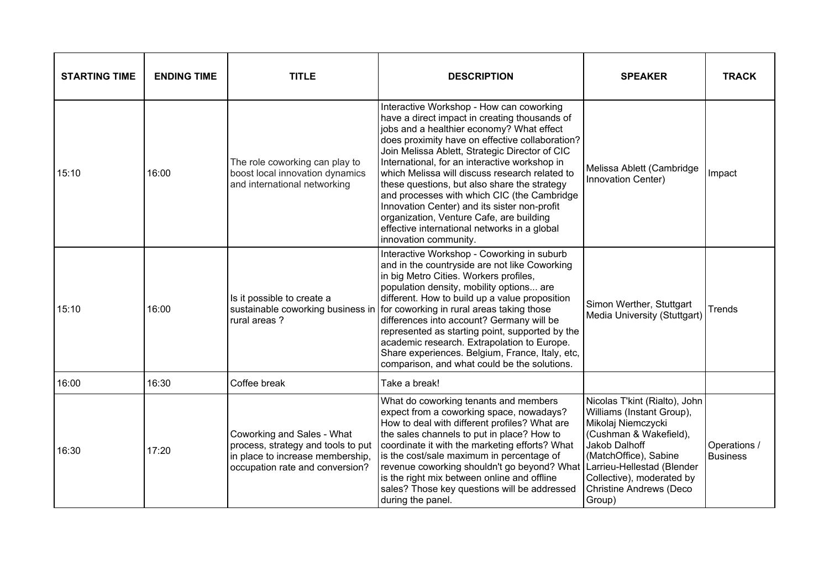| <b>STARTING TIME</b> | <b>ENDING TIME</b> | <b>TITLE</b>                                                                                                                            | <b>DESCRIPTION</b>                                                                                                                                                                                                                                                                                                                                                                                                                                                                                                                                                                                                 | <b>SPEAKER</b>                                                                                                                                                                                                                | <b>TRACK</b>                    |
|----------------------|--------------------|-----------------------------------------------------------------------------------------------------------------------------------------|--------------------------------------------------------------------------------------------------------------------------------------------------------------------------------------------------------------------------------------------------------------------------------------------------------------------------------------------------------------------------------------------------------------------------------------------------------------------------------------------------------------------------------------------------------------------------------------------------------------------|-------------------------------------------------------------------------------------------------------------------------------------------------------------------------------------------------------------------------------|---------------------------------|
| 15:10                | 16:00              | The role coworking can play to<br>boost local innovation dynamics<br>and international networking                                       | Interactive Workshop - How can coworking<br>have a direct impact in creating thousands of<br>jobs and a healthier economy? What effect<br>does proximity have on effective collaboration?<br>Join Melissa Ablett, Strategic Director of CIC<br>International, for an interactive workshop in<br>which Melissa will discuss research related to<br>these questions, but also share the strategy<br>and processes with which CIC (the Cambridge<br>Innovation Center) and its sister non-profit<br>organization, Venture Cafe, are building<br>effective international networks in a global<br>innovation community. | Melissa Ablett (Cambridge<br>Innovation Center)                                                                                                                                                                               | Impact                          |
| 15:10                | 16:00              | Is it possible to create a<br>sustainable coworking business in<br>rural areas?                                                         | Interactive Workshop - Coworking in suburb<br>and in the countryside are not like Coworking<br>in big Metro Cities. Workers profiles,<br>population density, mobility options are<br>different. How to build up a value proposition<br>for coworking in rural areas taking those<br>differences into account? Germany will be<br>represented as starting point, supported by the<br>academic research. Extrapolation to Europe.<br>Share experiences. Belgium, France, Italy, etc,<br>comparison, and what could be the solutions.                                                                                 | Simon Werther, Stuttgart<br>Media University (Stuttgart)                                                                                                                                                                      | Trends                          |
| 16:00                | 16:30              | Coffee break                                                                                                                            | Take a break!                                                                                                                                                                                                                                                                                                                                                                                                                                                                                                                                                                                                      |                                                                                                                                                                                                                               |                                 |
| 16:30                | 17:20              | Coworking and Sales - What<br>process, strategy and tools to put<br>in place to increase membership,<br>occupation rate and conversion? | What do coworking tenants and members<br>expect from a coworking space, nowadays?<br>How to deal with different profiles? What are<br>the sales channels to put in place? How to<br>coordinate it with the marketing efforts? What<br>is the cost/sale maximum in percentage of<br>revenue coworking shouldn't go beyond? What Larrieu-Hellestad (Blender<br>is the right mix between online and offline<br>sales? Those key questions will be addressed<br>during the panel.                                                                                                                                      | Nicolas T'kint (Rialto), John<br>Williams (Instant Group),<br>Mikolaj Niemczycki<br>(Cushman & Wakefield),<br>Jakob Dalhoff<br>(MatchOffice), Sabine<br>Collective), moderated by<br><b>Christine Andrews (Deco</b><br>Group) | Operations /<br><b>Business</b> |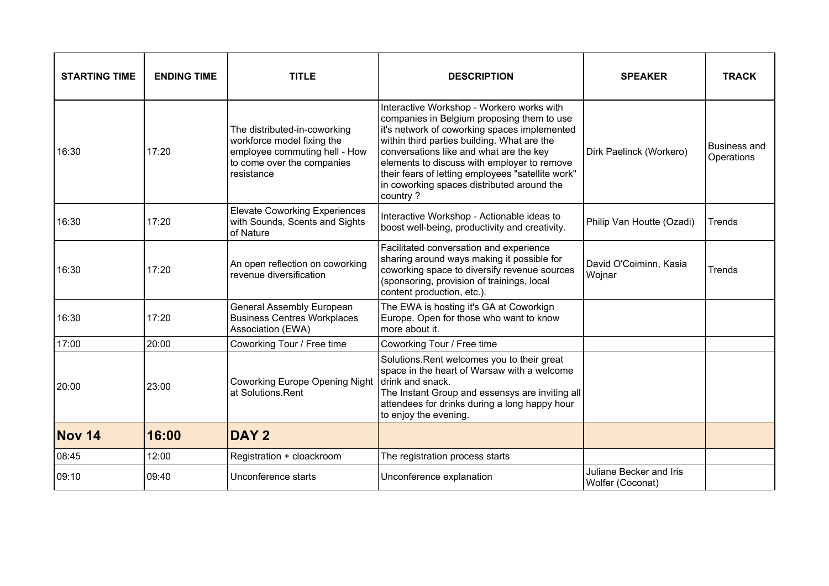| <b>STARTING TIME</b> | <b>ENDING TIME</b> | <b>TITLE</b>                                                                                                                            | <b>DESCRIPTION</b>                                                                                                                                                                                                                                                                                                                                                                              | <b>SPEAKER</b>                              | <b>TRACK</b>                      |
|----------------------|--------------------|-----------------------------------------------------------------------------------------------------------------------------------------|-------------------------------------------------------------------------------------------------------------------------------------------------------------------------------------------------------------------------------------------------------------------------------------------------------------------------------------------------------------------------------------------------|---------------------------------------------|-----------------------------------|
| 16:30                | 17:20              | The distributed-in-coworking<br>workforce model fixing the<br>employee commuting hell - How<br>to come over the companies<br>resistance | Interactive Workshop - Workero works with<br>companies in Belgium proposing them to use<br>it's network of coworking spaces implemented<br>within third parties building. What are the<br>conversations like and what are the key<br>elements to discuss with employer to remove<br>their fears of letting employees "satellite work"<br>in coworking spaces distributed around the<br>country? | Dirk Paelinck (Workero)                     | <b>Business and</b><br>Operations |
| 16:30                | 17:20              | <b>Elevate Coworking Experiences</b><br>with Sounds, Scents and Sights<br>of Nature                                                     | Interactive Workshop - Actionable ideas to<br>boost well-being, productivity and creativity.                                                                                                                                                                                                                                                                                                    | Philip Van Houtte (Ozadi)                   | Trends                            |
| 16:30                | 17:20              | An open reflection on coworking<br>revenue diversification                                                                              | Facilitated conversation and experience<br>sharing around ways making it possible for<br>coworking space to diversify revenue sources<br>(sponsoring, provision of trainings, local<br>content production, etc.).                                                                                                                                                                               | David O'Coiminn, Kasia<br>Wojnar            | Trends                            |
| 16:30                | 17:20              | General Assembly European<br><b>Business Centres Workplaces</b><br>Association (EWA)                                                    | The EWA is hosting it's GA at Coworkign<br>Europe. Open for those who want to know<br>more about it.                                                                                                                                                                                                                                                                                            |                                             |                                   |
| 17:00                | 20:00              | Coworking Tour / Free time                                                                                                              | Coworking Tour / Free time                                                                                                                                                                                                                                                                                                                                                                      |                                             |                                   |
| 20:00                | 23:00              | <b>Coworking Europe Opening Night</b><br>at Solutions.Rent                                                                              | Solutions. Rent welcomes you to their great<br>space in the heart of Warsaw with a welcome<br>drink and snack.<br>The Instant Group and essensys are inviting all<br>attendees for drinks during a long happy hour<br>to enjoy the evening.                                                                                                                                                     |                                             |                                   |
| <b>Nov 14</b>        | 16:00              | <b>DAY 2</b>                                                                                                                            |                                                                                                                                                                                                                                                                                                                                                                                                 |                                             |                                   |
| 08:45                | 12:00              | Registration + cloackroom                                                                                                               | The registration process starts                                                                                                                                                                                                                                                                                                                                                                 |                                             |                                   |
| 09:10                | 09:40              | Unconference starts                                                                                                                     | Unconference explanation                                                                                                                                                                                                                                                                                                                                                                        | Juliane Becker and Iris<br>Wolfer (Coconat) |                                   |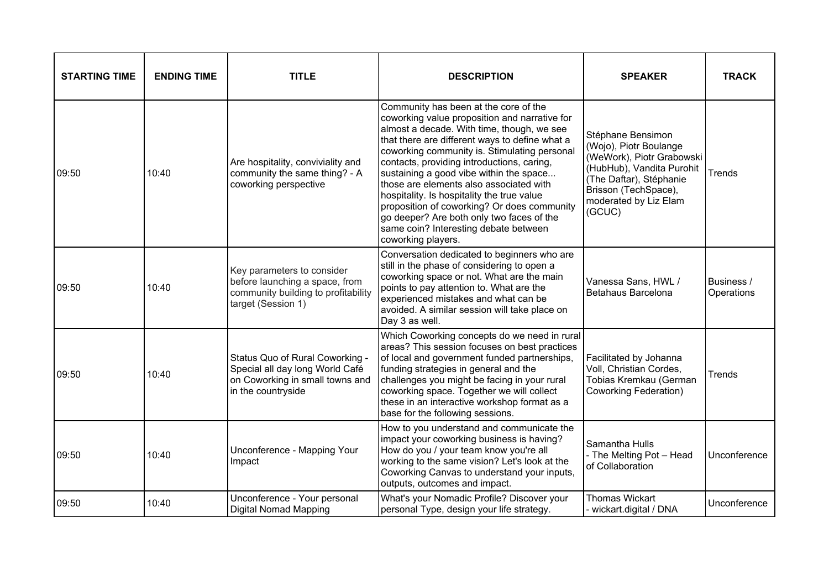| <b>STARTING TIME</b> | <b>ENDING TIME</b> | <b>TITLE</b>                                                                                                                | <b>DESCRIPTION</b>                                                                                                                                                                                                                                                                                                                                                                                                                                                                                                                                                                  | <b>SPEAKER</b>                                                                                                                                                                              | <b>TRACK</b>             |
|----------------------|--------------------|-----------------------------------------------------------------------------------------------------------------------------|-------------------------------------------------------------------------------------------------------------------------------------------------------------------------------------------------------------------------------------------------------------------------------------------------------------------------------------------------------------------------------------------------------------------------------------------------------------------------------------------------------------------------------------------------------------------------------------|---------------------------------------------------------------------------------------------------------------------------------------------------------------------------------------------|--------------------------|
| 09:50                | 10:40              | Are hospitality, conviviality and<br>community the same thing? - A<br>coworking perspective                                 | Community has been at the core of the<br>coworking value proposition and narrative for<br>almost a decade. With time, though, we see<br>that there are different ways to define what a<br>coworking community is. Stimulating personal<br>contacts, providing introductions, caring,<br>sustaining a good vibe within the space<br>those are elements also associated with<br>hospitality. Is hospitality the true value<br>proposition of coworking? Or does community<br>go deeper? Are both only two faces of the<br>same coin? Interesting debate between<br>coworking players. | Stéphane Bensimon<br>(Wojo), Piotr Boulange<br>(WeWork), Piotr Grabowski<br>(HubHub), Vandita Purohit<br>(The Daftar), Stéphanie<br>Brisson (TechSpace),<br>moderated by Liz Elam<br>(GCUC) | Trends                   |
| 09:50                | 10:40              | Key parameters to consider<br>before launching a space, from<br>community building to profitability<br>target (Session 1)   | Conversation dedicated to beginners who are<br>still in the phase of considering to open a<br>coworking space or not. What are the main<br>points to pay attention to. What are the<br>experienced mistakes and what can be<br>avoided. A similar session will take place on<br>Day 3 as well.                                                                                                                                                                                                                                                                                      | Vanessa Sans, HWL /<br>Betahaus Barcelona                                                                                                                                                   | Business /<br>Operations |
| 09:50                | 10:40              | Status Quo of Rural Coworking -<br>Special all day long World Café<br>on Coworking in small towns and<br>in the countryside | Which Coworking concepts do we need in rural<br>areas? This session focuses on best practices<br>of local and government funded partnerships,<br>funding strategies in general and the<br>challenges you might be facing in your rural<br>coworking space. Together we will collect<br>these in an interactive workshop format as a<br>base for the following sessions.                                                                                                                                                                                                             | Facilitated by Johanna<br>Voll, Christian Cordes,<br>Tobias Kremkau (German<br>Coworking Federation)                                                                                        | Trends                   |
| 09:50                | 10:40              | Unconference - Mapping Your<br>Impact                                                                                       | How to you understand and communicate the<br>impact your coworking business is having?<br>How do you / your team know you're all<br>working to the same vision? Let's look at the<br>Coworking Canvas to understand your inputs,<br>outputs, outcomes and impact.                                                                                                                                                                                                                                                                                                                   | Samantha Hulls<br>- The Melting Pot - Head<br>of Collaboration                                                                                                                              | Unconference             |
| 09:50                | 10:40              | Unconference - Your personal<br><b>Digital Nomad Mapping</b>                                                                | What's your Nomadic Profile? Discover your<br>personal Type, design your life strategy.                                                                                                                                                                                                                                                                                                                                                                                                                                                                                             | <b>Thomas Wickart</b><br>- wickart.digital / DNA                                                                                                                                            | Unconference             |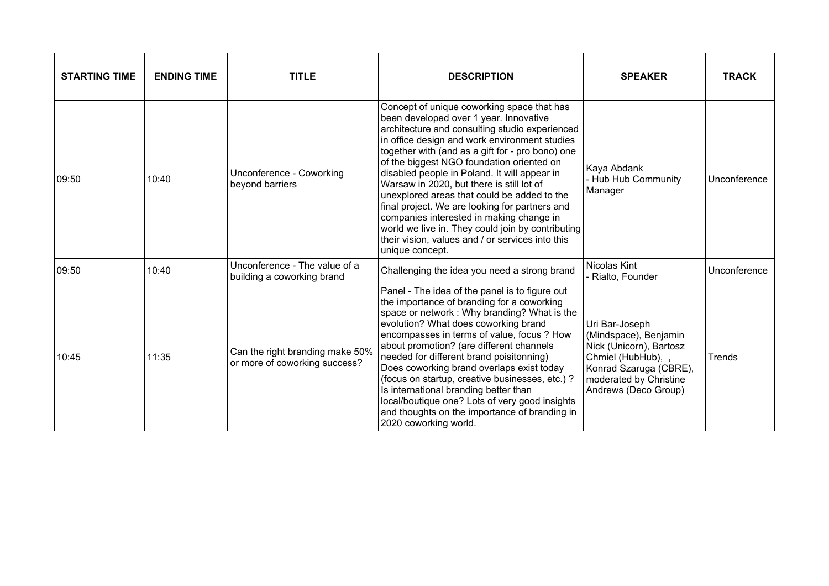| <b>STARTING TIME</b> | <b>ENDING TIME</b> | <b>TITLE</b>                                                     | <b>DESCRIPTION</b>                                                                                                                                                                                                                                                                                                                                                                                                                                                                                                                                                                                                                                             | <b>SPEAKER</b>                                                                                                                                                       | <b>TRACK</b> |
|----------------------|--------------------|------------------------------------------------------------------|----------------------------------------------------------------------------------------------------------------------------------------------------------------------------------------------------------------------------------------------------------------------------------------------------------------------------------------------------------------------------------------------------------------------------------------------------------------------------------------------------------------------------------------------------------------------------------------------------------------------------------------------------------------|----------------------------------------------------------------------------------------------------------------------------------------------------------------------|--------------|
| 09:50                | 10:40              | Unconference - Coworking<br>beyond barriers                      | Concept of unique coworking space that has<br>been developed over 1 year. Innovative<br>architecture and consulting studio experienced<br>in office design and work environment studies<br>together with (and as a gift for - pro bono) one<br>of the biggest NGO foundation oriented on<br>disabled people in Poland. It will appear in<br>Warsaw in 2020, but there is still lot of<br>unexplored areas that could be added to the<br>final project. We are looking for partners and<br>companies interested in making change in<br>world we live in. They could join by contributing<br>their vision, values and / or services into this<br>unique concept. | Kaya Abdank<br>- Hub Hub Community<br>Manager                                                                                                                        | Unconference |
| 09:50                | 10:40              | Unconference - The value of a<br>building a coworking brand      | Challenging the idea you need a strong brand                                                                                                                                                                                                                                                                                                                                                                                                                                                                                                                                                                                                                   | Nicolas Kint<br>- Rialto, Founder                                                                                                                                    | Unconference |
| 10:45                | 11:35              | Can the right branding make 50%<br>or more of coworking success? | Panel - The idea of the panel is to figure out<br>the importance of branding for a coworking<br>space or network : Why branding? What is the<br>evolution? What does coworking brand<br>encompasses in terms of value, focus ? How<br>about promotion? (are different channels<br>needed for different brand poisitonning)<br>Does coworking brand overlaps exist today<br>(focus on startup, creative businesses, etc.)?<br>Is international branding better than<br>local/boutique one? Lots of very good insights<br>and thoughts on the importance of branding in<br>2020 coworking world.                                                                 | Uri Bar-Joseph<br>(Mindspace), Benjamin<br>Nick (Unicorn), Bartosz<br>Chmiel (HubHub), ,<br>Konrad Szaruga (CBRE),<br>moderated by Christine<br>Andrews (Deco Group) | Trends       |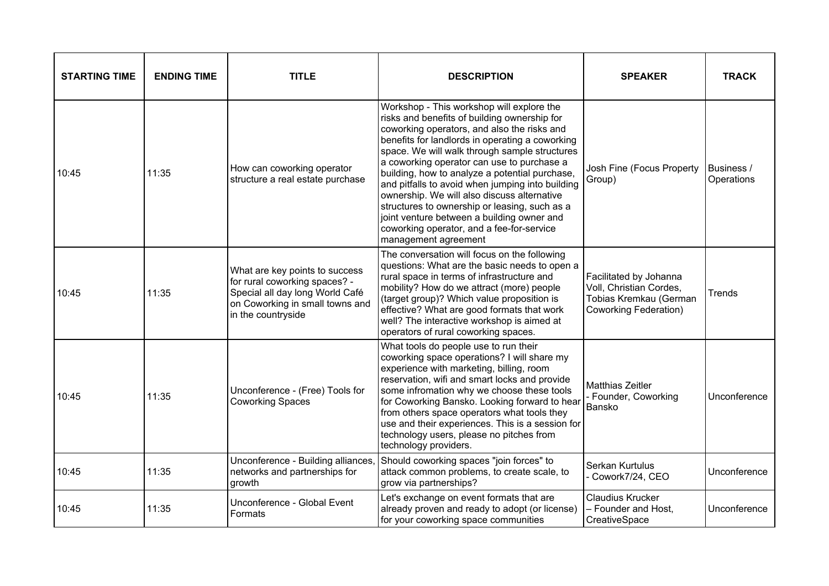| <b>STARTING TIME</b> | <b>ENDING TIME</b> | <b>TITLE</b>                                                                                                                                                | <b>DESCRIPTION</b>                                                                                                                                                                                                                                                                                                                                                                                                                                                                                                                                                                                                  | <b>SPEAKER</b>                                                                                              | <b>TRACK</b>             |
|----------------------|--------------------|-------------------------------------------------------------------------------------------------------------------------------------------------------------|---------------------------------------------------------------------------------------------------------------------------------------------------------------------------------------------------------------------------------------------------------------------------------------------------------------------------------------------------------------------------------------------------------------------------------------------------------------------------------------------------------------------------------------------------------------------------------------------------------------------|-------------------------------------------------------------------------------------------------------------|--------------------------|
| 10:45                | 11:35              | How can coworking operator<br>structure a real estate purchase                                                                                              | Workshop - This workshop will explore the<br>risks and benefits of building ownership for<br>coworking operators, and also the risks and<br>benefits for landlords in operating a coworking<br>space. We will walk through sample structures<br>a coworking operator can use to purchase a<br>building, how to analyze a potential purchase,<br>and pitfalls to avoid when jumping into building<br>ownership. We will also discuss alternative<br>structures to ownership or leasing, such as a<br>joint venture between a building owner and<br>coworking operator, and a fee-for-service<br>management agreement | Josh Fine (Focus Property<br>Group)                                                                         | Business /<br>Operations |
| 10:45                | 11:35              | What are key points to success<br>for rural coworking spaces? -<br>Special all day long World Café<br>on Coworking in small towns and<br>in the countryside | The conversation will focus on the following<br>questions: What are the basic needs to open a<br>rural space in terms of infrastructure and<br>mobility? How do we attract (more) people<br>(target group)? Which value proposition is<br>effective? What are good formats that work<br>well? The interactive workshop is aimed at<br>operators of rural coworking spaces.                                                                                                                                                                                                                                          | Facilitated by Johanna<br>Voll, Christian Cordes,<br>Tobias Kremkau (German<br><b>Coworking Federation)</b> | Trends                   |
| 10:45                | 11:35              | Unconference - (Free) Tools for<br><b>Coworking Spaces</b>                                                                                                  | What tools do people use to run their<br>coworking space operations? I will share my<br>experience with marketing, billing, room<br>reservation, wifi and smart locks and provide<br>some infromation why we choose these tools<br>for Coworking Bansko. Looking forward to hear<br>from others space operators what tools they<br>use and their experiences. This is a session for<br>technology users, please no pitches from<br>technology providers.                                                                                                                                                            | Matthias Zeitler<br>- Founder, Coworking<br>Bansko                                                          | Unconference             |
| 10:45                | 11:35              | Unconference - Building alliances<br>networks and partnerships for<br>growth                                                                                | Should coworking spaces "join forces" to<br>attack common problems, to create scale, to<br>grow via partnerships?                                                                                                                                                                                                                                                                                                                                                                                                                                                                                                   | Serkan Kurtulus<br>Cowork7/24, CEO                                                                          | Unconference             |
| 10:45                | 11:35              | Unconference - Global Event<br>Formats                                                                                                                      | Let's exchange on event formats that are<br>already proven and ready to adopt (or license)<br>for your coworking space communities                                                                                                                                                                                                                                                                                                                                                                                                                                                                                  | Claudius Krucker<br>- Founder and Host,<br>CreativeSpace                                                    | Unconference             |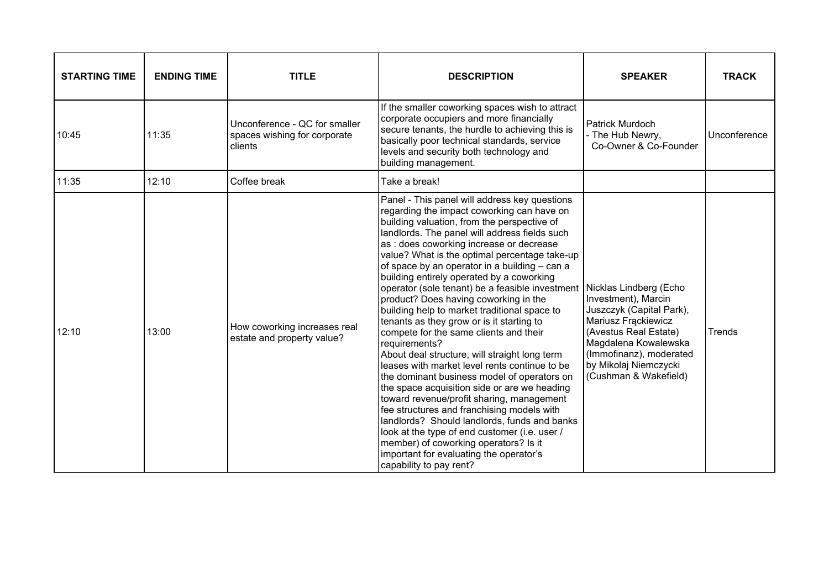| <b>STARTING TIME</b> | <b>ENDING TIME</b> | <b>TITLE</b>                                                             | <b>DESCRIPTION</b>                                                                                                                                                                                                                                                                                                                                                                                                                                                                                                                                                                                                                                                                                                                                                                                                                                                                                                                                                                                                                                                                                                                                                            | <b>SPEAKER</b>                                                                                                                                                                                       | <b>TRACK</b> |
|----------------------|--------------------|--------------------------------------------------------------------------|-------------------------------------------------------------------------------------------------------------------------------------------------------------------------------------------------------------------------------------------------------------------------------------------------------------------------------------------------------------------------------------------------------------------------------------------------------------------------------------------------------------------------------------------------------------------------------------------------------------------------------------------------------------------------------------------------------------------------------------------------------------------------------------------------------------------------------------------------------------------------------------------------------------------------------------------------------------------------------------------------------------------------------------------------------------------------------------------------------------------------------------------------------------------------------|------------------------------------------------------------------------------------------------------------------------------------------------------------------------------------------------------|--------------|
| 10:45                | 11:35              | Unconference - QC for smaller<br>spaces wishing for corporate<br>clients | If the smaller coworking spaces wish to attract<br>corporate occupiers and more financially<br>secure tenants, the hurdle to achieving this is<br>basically poor technical standards, service<br>levels and security both technology and<br>building management.                                                                                                                                                                                                                                                                                                                                                                                                                                                                                                                                                                                                                                                                                                                                                                                                                                                                                                              | <b>Patrick Murdoch</b><br>- The Hub Newry,<br>Co-Owner & Co-Founder                                                                                                                                  | Unconference |
| 11:35                | 12:10              | Coffee break                                                             | Take a break!                                                                                                                                                                                                                                                                                                                                                                                                                                                                                                                                                                                                                                                                                                                                                                                                                                                                                                                                                                                                                                                                                                                                                                 |                                                                                                                                                                                                      |              |
| 12:10                | 13:00              | How coworking increases real<br>estate and property value?               | Panel - This panel will address key questions<br>regarding the impact coworking can have on<br>building valuation, from the perspective of<br>landlords. The panel will address fields such<br>as : does coworking increase or decrease<br>value? What is the optimal percentage take-up<br>of space by an operator in a building - can a<br>building entirely operated by a coworking<br>operator (sole tenant) be a feasible investment Nicklas Lindberg (Echo<br>product? Does having coworking in the<br>building help to market traditional space to<br>tenants as they grow or is it starting to<br>compete for the same clients and their<br>requirements?<br>About deal structure, will straight long term<br>leases with market level rents continue to be<br>the dominant business model of operators on<br>the space acquisition side or are we heading<br>toward revenue/profit sharing, management<br>fee structures and franchising models with<br>landlords? Should landlords, funds and banks<br>look at the type of end customer (i.e. user /<br>member) of coworking operators? Is it<br>important for evaluating the operator's<br>capability to pay rent? | Investment), Marcin<br>Juszczyk (Capital Park),<br>Mariusz Frackiewicz<br>(Avestus Real Estate)<br>Magdalena Kowalewska<br>(Immofinanz), moderated<br>by Mikolaj Niemczycki<br>(Cushman & Wakefield) | Trends       |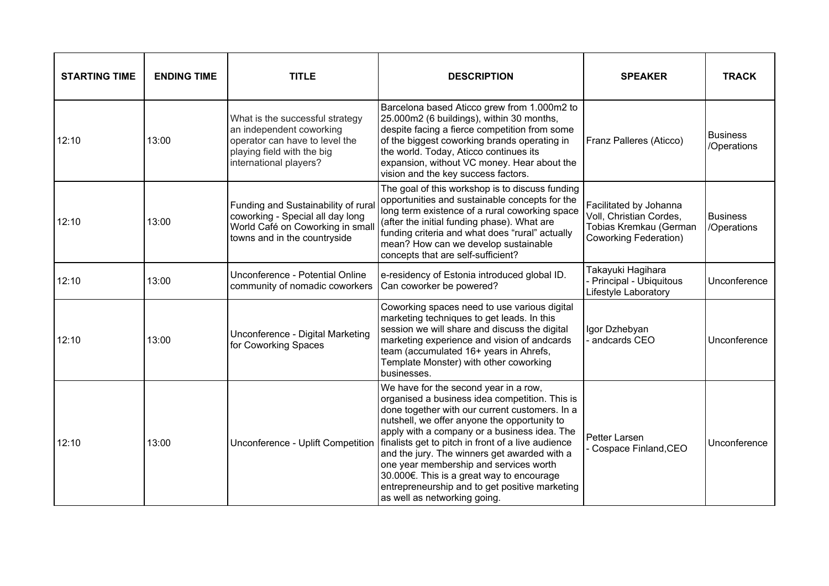| <b>STARTING TIME</b> | <b>ENDING TIME</b> | <b>TITLE</b>                                                                                                                                          | <b>DESCRIPTION</b>                                                                                                                                                                                                                                                                                                                                                                                                                                                                                                       | <b>SPEAKER</b>                                                                                       | <b>TRACK</b>                   |
|----------------------|--------------------|-------------------------------------------------------------------------------------------------------------------------------------------------------|--------------------------------------------------------------------------------------------------------------------------------------------------------------------------------------------------------------------------------------------------------------------------------------------------------------------------------------------------------------------------------------------------------------------------------------------------------------------------------------------------------------------------|------------------------------------------------------------------------------------------------------|--------------------------------|
| 12:10                | 13:00              | What is the successful strategy<br>an independent coworking<br>operator can have to level the<br>playing field with the big<br>international players? | Barcelona based Aticco grew from 1.000m2 to<br>25.000m2 (6 buildings), within 30 months,<br>despite facing a fierce competition from some<br>of the biggest coworking brands operating in<br>the world. Today, Aticco continues its<br>expansion, without VC money. Hear about the<br>vision and the key success factors.                                                                                                                                                                                                | Franz Palleres (Aticco)                                                                              | <b>Business</b><br>/Operations |
| 12:10                | 13:00              | Funding and Sustainability of rural<br>coworking - Special all day long<br>World Café on Coworking in small<br>towns and in the countryside           | The goal of this workshop is to discuss funding<br>opportunities and sustainable concepts for the<br>long term existence of a rural coworking space<br>(after the initial funding phase). What are<br>funding criteria and what does "rural" actually<br>mean? How can we develop sustainable<br>concepts that are self-sufficient?                                                                                                                                                                                      | Facilitated by Johanna<br>Voll, Christian Cordes,<br>Tobias Kremkau (German<br>Coworking Federation) | <b>Business</b><br>/Operations |
| 12:10                | 13:00              | Unconference - Potential Online<br>community of nomadic coworkers                                                                                     | e-residency of Estonia introduced global ID.<br>Can coworker be powered?                                                                                                                                                                                                                                                                                                                                                                                                                                                 | Takayuki Hagihara<br>- Principal - Ubiquitous<br>Lifestyle Laboratory                                | Unconference                   |
| 12:10                | 13:00              | Unconference - Digital Marketing<br>for Coworking Spaces                                                                                              | Coworking spaces need to use various digital<br>marketing techniques to get leads. In this<br>session we will share and discuss the digital<br>marketing experience and vision of andcards<br>team (accumulated 16+ years in Ahrefs,<br>Template Monster) with other coworking<br>businesses.                                                                                                                                                                                                                            | Igor Dzhebyan<br>- andcards CEO                                                                      | Unconference                   |
| 12:10                | 13:00              | Unconference - Uplift Competition                                                                                                                     | We have for the second year in a row,<br>organised a business idea competition. This is<br>done together with our current customers. In a<br>nutshell, we offer anyone the opportunity to<br>apply with a company or a business idea. The<br>finalists get to pitch in front of a live audience<br>and the jury. The winners get awarded with a<br>one year membership and services worth<br>30.000€. This is a great way to encourage<br>entrepreneurship and to get positive marketing<br>as well as networking going. | Petter Larsen<br>Cospace Finland, CEO                                                                | Unconference                   |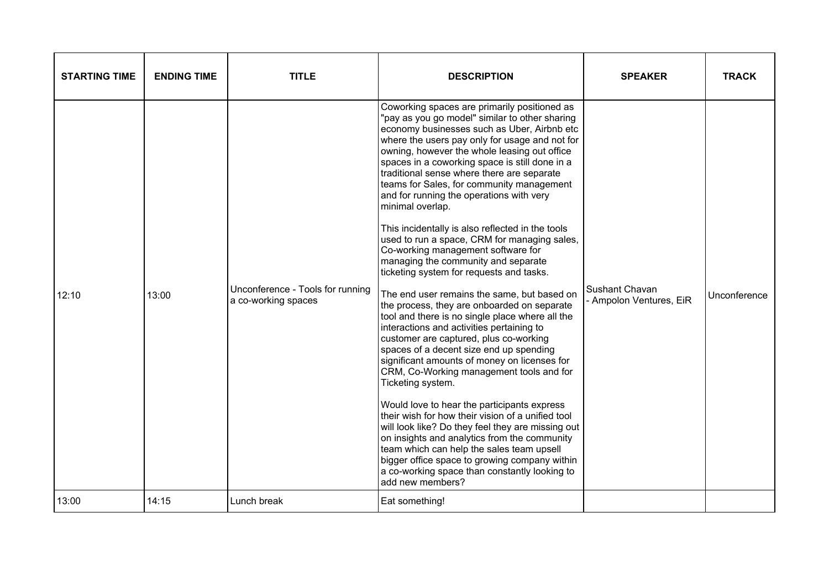| <b>STARTING TIME</b> | <b>ENDING TIME</b> | <b>TITLE</b>                                            | <b>DESCRIPTION</b>                                                                                                                                                                                                                                                                                                                                                                                                                                                                                                                                                                                                                                                                                                                                                                                                                                                                                                                                                                                                                                                                                                                                                                                                                                                                                                                                                                                                                                                        | <b>SPEAKER</b>                            | <b>TRACK</b> |
|----------------------|--------------------|---------------------------------------------------------|---------------------------------------------------------------------------------------------------------------------------------------------------------------------------------------------------------------------------------------------------------------------------------------------------------------------------------------------------------------------------------------------------------------------------------------------------------------------------------------------------------------------------------------------------------------------------------------------------------------------------------------------------------------------------------------------------------------------------------------------------------------------------------------------------------------------------------------------------------------------------------------------------------------------------------------------------------------------------------------------------------------------------------------------------------------------------------------------------------------------------------------------------------------------------------------------------------------------------------------------------------------------------------------------------------------------------------------------------------------------------------------------------------------------------------------------------------------------------|-------------------------------------------|--------------|
| 12:10                | 13:00              | Unconference - Tools for running<br>a co-working spaces | Coworking spaces are primarily positioned as<br>"pay as you go model" similar to other sharing<br>economy businesses such as Uber, Airbnb etc<br>where the users pay only for usage and not for<br>owning, however the whole leasing out office<br>spaces in a coworking space is still done in a<br>traditional sense where there are separate<br>teams for Sales, for community management<br>and for running the operations with very<br>minimal overlap.<br>This incidentally is also reflected in the tools<br>used to run a space, CRM for managing sales,<br>Co-working management software for<br>managing the community and separate<br>ticketing system for requests and tasks.<br>The end user remains the same, but based on<br>the process, they are onboarded on separate<br>tool and there is no single place where all the<br>interactions and activities pertaining to<br>customer are captured, plus co-working<br>spaces of a decent size end up spending<br>significant amounts of money on licenses for<br>CRM, Co-Working management tools and for<br>Ticketing system.<br>Would love to hear the participants express<br>their wish for how their vision of a unified tool<br>will look like? Do they feel they are missing out<br>on insights and analytics from the community<br>team which can help the sales team upsell<br>bigger office space to growing company within<br>a co-working space than constantly looking to<br>add new members? | Sushant Chavan<br>- Ampolon Ventures, EiR | Unconference |
| 13:00                | 14:15              | Lunch break                                             | Eat something!                                                                                                                                                                                                                                                                                                                                                                                                                                                                                                                                                                                                                                                                                                                                                                                                                                                                                                                                                                                                                                                                                                                                                                                                                                                                                                                                                                                                                                                            |                                           |              |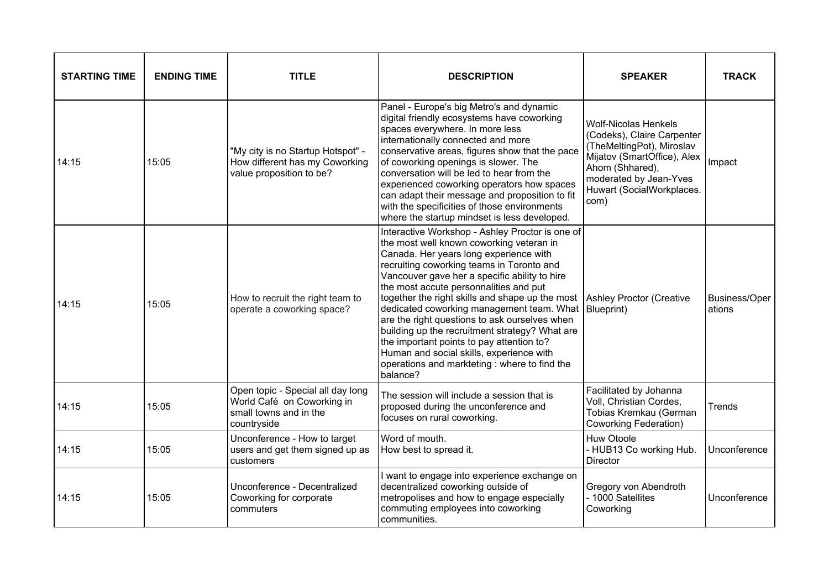| <b>STARTING TIME</b> | <b>ENDING TIME</b> | <b>TITLE</b>                                                                                             | <b>DESCRIPTION</b>                                                                                                                                                                                                                                                                                                                                                                                                                                                                                                                                                                                                                                                           | <b>SPEAKER</b>                                                                                                                                                                                          | <b>TRACK</b>            |
|----------------------|--------------------|----------------------------------------------------------------------------------------------------------|------------------------------------------------------------------------------------------------------------------------------------------------------------------------------------------------------------------------------------------------------------------------------------------------------------------------------------------------------------------------------------------------------------------------------------------------------------------------------------------------------------------------------------------------------------------------------------------------------------------------------------------------------------------------------|---------------------------------------------------------------------------------------------------------------------------------------------------------------------------------------------------------|-------------------------|
| 14:15                | 15:05              | "My city is no Startup Hotspot" -<br>How different has my Coworking<br>value proposition to be?          | Panel - Europe's big Metro's and dynamic<br>digital friendly ecosystems have coworking<br>spaces everywhere. In more less<br>internationally connected and more<br>conservative areas, figures show that the pace<br>of coworking openings is slower. The<br>conversation will be led to hear from the<br>experienced coworking operators how spaces<br>can adapt their message and proposition to fit<br>with the specificities of those environments<br>where the startup mindset is less developed.                                                                                                                                                                       | <b>Wolf-Nicolas Henkels</b><br>(Codeks), Claire Carpenter<br>(TheMeltingPot), Miroslav<br>Mijatov (SmartOffice), Alex<br>Ahom (Shhared),<br>moderated by Jean-Yves<br>Huwart (SocialWorkplaces.<br>com) | Impact                  |
| 14:15                | 15:05              | How to recruit the right team to<br>operate a coworking space?                                           | Interactive Workshop - Ashley Proctor is one of<br>the most well known coworking veteran in<br>Canada. Her years long experience with<br>recruiting coworking teams in Toronto and<br>Vancouver gave her a specific ability to hire<br>the most accute personnalities and put<br>together the right skills and shape up the most Ashley Proctor (Creative<br>dedicated coworking management team. What   Blueprint)<br>are the right questions to ask ourselves when<br>building up the recruitment strategy? What are<br>the important points to pay attention to?<br>Human and social skills, experience with<br>operations and markteting : where to find the<br>balance? |                                                                                                                                                                                                         | Business/Oper<br>ations |
| 14:15                | 15:05              | Open topic - Special all day long<br>World Café on Coworking in<br>small towns and in the<br>countryside | The session will include a session that is<br>proposed during the unconference and<br>focuses on rural coworking.                                                                                                                                                                                                                                                                                                                                                                                                                                                                                                                                                            | Facilitated by Johanna<br>Voll, Christian Cordes,<br>Tobias Kremkau (German<br><b>Coworking Federation)</b>                                                                                             | Trends                  |
| 14:15                | 15:05              | Unconference - How to target<br>users and get them signed up as<br>customers                             | Word of mouth.<br>How best to spread it.                                                                                                                                                                                                                                                                                                                                                                                                                                                                                                                                                                                                                                     | Huw Otoole<br>- HUB13 Co working Hub.<br>Director                                                                                                                                                       | Unconference            |
| 14:15                | 15:05              | Unconference - Decentralized<br>Coworking for corporate<br>commuters                                     | I want to engage into experience exchange on<br>decentralized coworking outside of<br>metropolises and how to engage especially<br>commuting employees into coworking<br>communities.                                                                                                                                                                                                                                                                                                                                                                                                                                                                                        | Gregory von Abendroth<br>- 1000 Satellites<br>Coworking                                                                                                                                                 | Unconference            |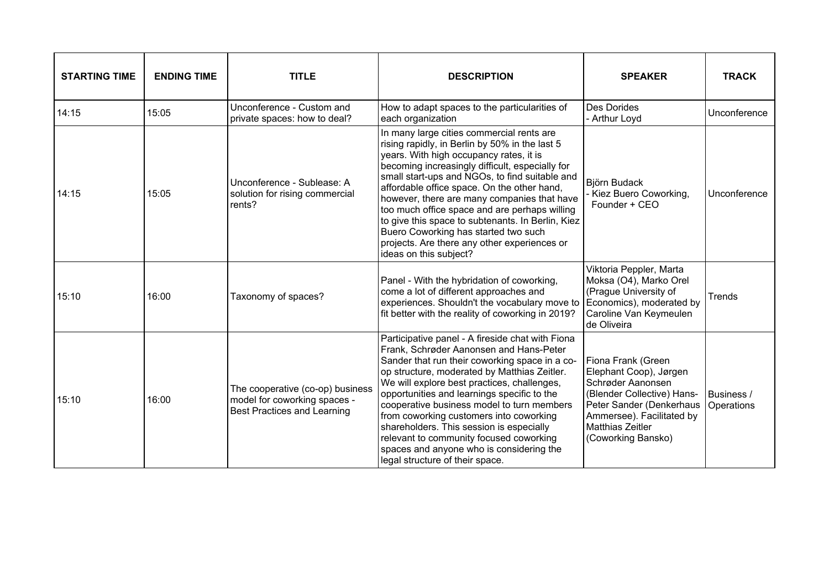| <b>STARTING TIME</b> | <b>ENDING TIME</b> | <b>TITLE</b>                                                                                           | <b>DESCRIPTION</b>                                                                                                                                                                                                                                                                                                                                                                                                                                                                                                                                                | <b>SPEAKER</b>                                                                                                                                                                                            | <b>TRACK</b>             |
|----------------------|--------------------|--------------------------------------------------------------------------------------------------------|-------------------------------------------------------------------------------------------------------------------------------------------------------------------------------------------------------------------------------------------------------------------------------------------------------------------------------------------------------------------------------------------------------------------------------------------------------------------------------------------------------------------------------------------------------------------|-----------------------------------------------------------------------------------------------------------------------------------------------------------------------------------------------------------|--------------------------|
| 14:15                | 15:05              | Unconference - Custom and<br>private spaces: how to deal?                                              | How to adapt spaces to the particularities of<br>each organization                                                                                                                                                                                                                                                                                                                                                                                                                                                                                                | <b>Des Dorides</b><br>- Arthur Loyd                                                                                                                                                                       | Unconference             |
| 14:15                | 15:05              | Unconference - Sublease: A<br>solution for rising commercial<br>rents?                                 | In many large cities commercial rents are<br>rising rapidly, in Berlin by 50% in the last 5<br>years. With high occupancy rates, it is<br>becoming increasingly difficult, especially for<br>small start-ups and NGOs, to find suitable and<br>affordable office space. On the other hand,<br>however, there are many companies that have<br>too much office space and are perhaps willing<br>to give this space to subtenants. In Berlin, Kiez<br>Buero Coworking has started two such<br>projects. Are there any other experiences or<br>ideas on this subject? | Björn Budack<br>Kiez Buero Coworking,<br>Founder + CEO                                                                                                                                                    | Unconference             |
| 15:10                | 16:00              | Taxonomy of spaces?                                                                                    | Panel - With the hybridation of coworking,<br>come a lot of different approaches and<br>experiences. Shouldn't the vocabulary move to<br>fit better with the reality of coworking in 2019?                                                                                                                                                                                                                                                                                                                                                                        | Viktoria Peppler, Marta<br>Moksa (O4), Marko Orel<br>(Prague University of<br>Economics), moderated by<br>Caroline Van Keymeulen<br>de Oliveira                                                           | Trends                   |
| 15:10                | 16:00              | The cooperative (co-op) business<br>model for coworking spaces -<br><b>Best Practices and Learning</b> | Participative panel - A fireside chat with Fiona<br>Frank, Schrøder Aanonsen and Hans-Peter<br>Sander that run their coworking space in a co-<br>op structure, moderated by Matthias Zeitler.<br>We will explore best practices, challenges,<br>opportunities and learnings specific to the<br>cooperative business model to turn members<br>from coworking customers into coworking<br>shareholders. This session is especially<br>relevant to community focused coworking<br>spaces and anyone who is considering the<br>legal structure of their space.        | Fiona Frank (Green<br>Elephant Coop), Jørgen<br>Schrøder Aanonsen<br>(Blender Collective) Hans-<br>Peter Sander (Denkerhaus<br>Ammersee). Facilitated by<br><b>Matthias Zeitler</b><br>(Coworking Bansko) | Business /<br>Operations |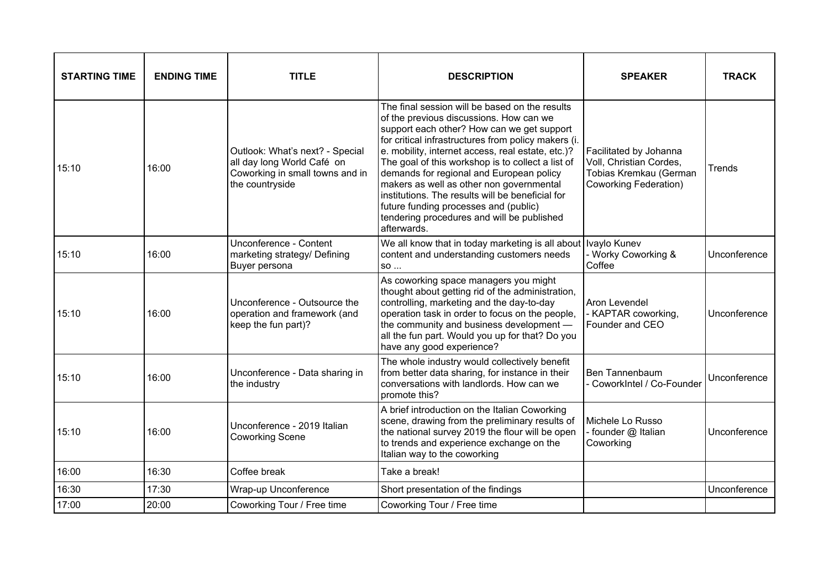| <b>STARTING TIME</b> | <b>ENDING TIME</b> | <b>TITLE</b>                                                                                                        | <b>DESCRIPTION</b>                                                                                                                                                                                                                                                                                                                                                                                                                                                                                                                                         | <b>SPEAKER</b>                                                                                              | <b>TRACK</b> |
|----------------------|--------------------|---------------------------------------------------------------------------------------------------------------------|------------------------------------------------------------------------------------------------------------------------------------------------------------------------------------------------------------------------------------------------------------------------------------------------------------------------------------------------------------------------------------------------------------------------------------------------------------------------------------------------------------------------------------------------------------|-------------------------------------------------------------------------------------------------------------|--------------|
| 15:10                | 16:00              | Outlook: What's next? - Special<br>all day long World Café on<br>Coworking in small towns and in<br>the countryside | The final session will be based on the results<br>of the previous discussions. How can we<br>support each other? How can we get support<br>for critical infrastructures from policy makers (i.<br>e. mobility, internet access, real estate, etc.)?<br>The goal of this workshop is to collect a list of<br>demands for regional and European policy<br>makers as well as other non governmental<br>institutions. The results will be beneficial for<br>future funding processes and (public)<br>tendering procedures and will be published<br>afterwards. | Facilitated by Johanna<br>Voll, Christian Cordes,<br>Tobias Kremkau (German<br><b>Coworking Federation)</b> | Trends       |
| 15:10                | 16:00              | Unconference - Content<br>marketing strategy/ Defining<br>Buyer persona                                             | We all know that in today marketing is all about   Ivaylo Kunev<br>content and understanding customers needs<br>SO                                                                                                                                                                                                                                                                                                                                                                                                                                         | - Worky Coworking &<br>Coffee                                                                               | Unconference |
| 15:10                | 16:00              | Unconference - Outsource the<br>operation and framework (and<br>keep the fun part)?                                 | As coworking space managers you might<br>thought about getting rid of the administration,<br>controlling, marketing and the day-to-day<br>operation task in order to focus on the people,<br>the community and business development -<br>all the fun part. Would you up for that? Do you<br>have any good experience?                                                                                                                                                                                                                                      | Aron Levendel<br>- KAPTAR coworking,<br>Founder and CEO                                                     | Unconference |
| 15:10                | 16:00              | Unconference - Data sharing in<br>the industry                                                                      | The whole industry would collectively benefit<br>from better data sharing, for instance in their<br>conversations with landlords. How can we<br>promote this?                                                                                                                                                                                                                                                                                                                                                                                              | Ben Tannenbaum<br>- CoworkIntel / Co-Founder                                                                | Unconference |
| 15:10                | 16:00              | Unconference - 2019 Italian<br><b>Coworking Scene</b>                                                               | A brief introduction on the Italian Coworking<br>scene, drawing from the preliminary results of<br>the national survey 2019 the flour will be open<br>to trends and experience exchange on the<br>Italian way to the coworking                                                                                                                                                                                                                                                                                                                             | Michele Lo Russo<br>- founder @ Italian<br>Coworking                                                        | Unconference |
| 16:00                | 16:30              | Coffee break                                                                                                        | Take a break!                                                                                                                                                                                                                                                                                                                                                                                                                                                                                                                                              |                                                                                                             |              |
| 16:30                | 17:30              | Wrap-up Unconference                                                                                                | Short presentation of the findings                                                                                                                                                                                                                                                                                                                                                                                                                                                                                                                         |                                                                                                             | Unconference |
| 17:00                | 20:00              | Coworking Tour / Free time                                                                                          | Coworking Tour / Free time                                                                                                                                                                                                                                                                                                                                                                                                                                                                                                                                 |                                                                                                             |              |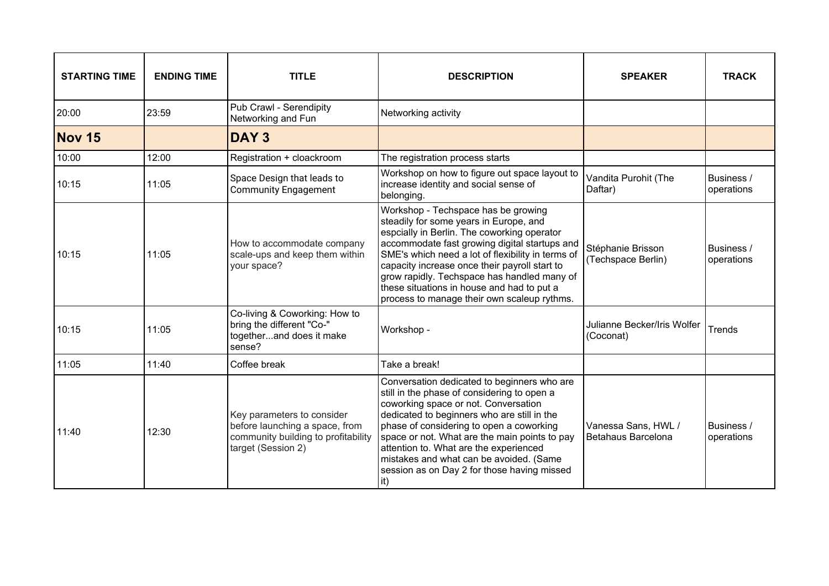| <b>STARTING TIME</b> | <b>ENDING TIME</b> | <b>TITLE</b>                                                                                                              | <b>DESCRIPTION</b>                                                                                                                                                                                                                                                                                                                                                                                                              | <b>SPEAKER</b>                            | <b>TRACK</b>             |
|----------------------|--------------------|---------------------------------------------------------------------------------------------------------------------------|---------------------------------------------------------------------------------------------------------------------------------------------------------------------------------------------------------------------------------------------------------------------------------------------------------------------------------------------------------------------------------------------------------------------------------|-------------------------------------------|--------------------------|
| 20:00                | 23:59              | Pub Crawl - Serendipity<br>Networking and Fun                                                                             | Networking activity                                                                                                                                                                                                                                                                                                                                                                                                             |                                           |                          |
| Nov 15               |                    | <b>DAY3</b>                                                                                                               |                                                                                                                                                                                                                                                                                                                                                                                                                                 |                                           |                          |
| 10:00                | 12:00              | Registration + cloackroom                                                                                                 | The registration process starts                                                                                                                                                                                                                                                                                                                                                                                                 |                                           |                          |
| 10:15                | 11:05              | Space Design that leads to<br><b>Community Engagement</b>                                                                 | Workshop on how to figure out space layout to<br>increase identity and social sense of<br>belonging.                                                                                                                                                                                                                                                                                                                            | Vandita Purohit (The<br>Daftar)           | Business /<br>operations |
| 10:15                | 11:05              | How to accommodate company<br>scale-ups and keep them within<br>your space?                                               | Workshop - Techspace has be growing<br>steadily for some years in Europe, and<br>espcially in Berlin. The coworking operator<br>accommodate fast growing digital startups and<br>SME's which need a lot of flexibility in terms of<br>capacity increase once their payroll start to<br>grow rapidly. Techspace has handled many of<br>these situations in house and had to put a<br>process to manage their own scaleup rythms. | Stéphanie Brisson<br>(Techspace Berlin)   | Business /<br>operations |
| 10:15                | 11:05              | Co-living & Coworking: How to<br>bring the different "Co-"<br>togetherand does it make<br>sense?                          | Workshop -                                                                                                                                                                                                                                                                                                                                                                                                                      | Julianne Becker/Iris Wolfer<br>(Coconat)  | Trends                   |
| 11:05                | 11:40              | Coffee break                                                                                                              | Take a break!                                                                                                                                                                                                                                                                                                                                                                                                                   |                                           |                          |
| 11:40                | 12:30              | Key parameters to consider<br>before launching a space, from<br>community building to profitability<br>target (Session 2) | Conversation dedicated to beginners who are<br>still in the phase of considering to open a<br>coworking space or not. Conversation<br>dedicated to beginners who are still in the<br>phase of considering to open a coworking<br>space or not. What are the main points to pay<br>attention to. What are the experienced<br>mistakes and what can be avoided. (Same<br>session as on Day 2 for those having missed<br>it)       | Vanessa Sans, HWL /<br>Betahaus Barcelona | Business /<br>operations |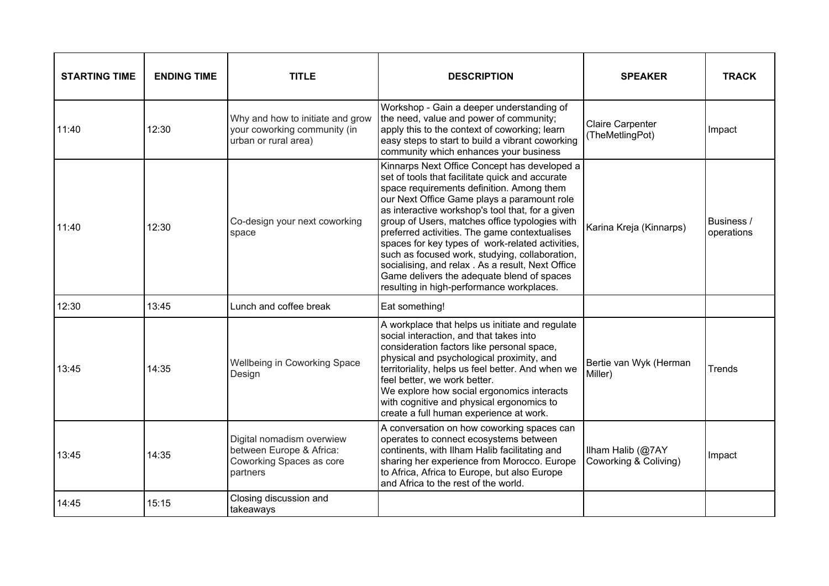| <b>STARTING TIME</b> | <b>ENDING TIME</b> | <b>TITLE</b>                                                                                  | <b>DESCRIPTION</b>                                                                                                                                                                                                                                                                                                                                                                                                                                                                                                                                                                                      | <b>SPEAKER</b>                             | <b>TRACK</b>             |
|----------------------|--------------------|-----------------------------------------------------------------------------------------------|---------------------------------------------------------------------------------------------------------------------------------------------------------------------------------------------------------------------------------------------------------------------------------------------------------------------------------------------------------------------------------------------------------------------------------------------------------------------------------------------------------------------------------------------------------------------------------------------------------|--------------------------------------------|--------------------------|
| 11:40                | 12:30              | Why and how to initiate and grow<br>your coworking community (in<br>urban or rural area)      | Workshop - Gain a deeper understanding of<br>the need, value and power of community;<br>apply this to the context of coworking; learn<br>easy steps to start to build a vibrant coworking<br>community which enhances your business                                                                                                                                                                                                                                                                                                                                                                     | <b>Claire Carpenter</b><br>(TheMetlingPot) | Impact                   |
| 11:40                | 12:30              | Co-design your next coworking<br>space                                                        | Kinnarps Next Office Concept has developed a<br>set of tools that facilitate quick and accurate<br>space requirements definition. Among them<br>our Next Office Game plays a paramount role<br>as interactive workshop's tool that, for a given<br>group of Users, matches office typologies with<br>preferred activities. The game contextualises<br>spaces for key types of work-related activities,<br>such as focused work, studying, collaboration,<br>socialising, and relax. As a result, Next Office<br>Game delivers the adequate blend of spaces<br>resulting in high-performance workplaces. | Karina Kreja (Kinnarps)                    | Business /<br>operations |
| 12:30                | 13:45              | Lunch and coffee break                                                                        | Eat something!                                                                                                                                                                                                                                                                                                                                                                                                                                                                                                                                                                                          |                                            |                          |
| 13:45                | 14:35              | Wellbeing in Coworking Space<br>Design                                                        | A workplace that helps us initiate and regulate<br>social interaction, and that takes into<br>consideration factors like personal space,<br>physical and psychological proximity, and<br>territoriality, helps us feel better. And when we<br>feel better, we work better.<br>We explore how social ergonomics interacts<br>with cognitive and physical ergonomics to<br>create a full human experience at work.                                                                                                                                                                                        | Bertie van Wyk (Herman<br>Miller)          | Trends                   |
| 13:45                | 14:35              | Digital nomadism overwiew<br>between Europe & Africa:<br>Coworking Spaces as core<br>partners | A conversation on how coworking spaces can<br>operates to connect ecosystems between<br>continents, with Ilham Halib facilitating and<br>sharing her experience from Morocco. Europe<br>to Africa, Africa to Europe, but also Europe<br>and Africa to the rest of the world.                                                                                                                                                                                                                                                                                                                            | Ilham Halib (@7AY<br>Coworking & Coliving) | Impact                   |
| 14:45                | 15:15              | Closing discussion and<br>takeaways                                                           |                                                                                                                                                                                                                                                                                                                                                                                                                                                                                                                                                                                                         |                                            |                          |